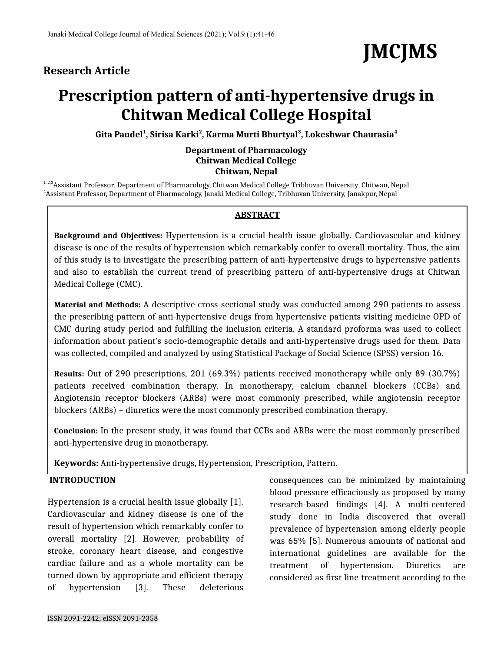# **Research Article**



# **Prescription pattern of anti-hypertensive drugs in Chitwan Medical College Hospital**

**Gita Paudel<sup>1</sup> , Sirisa Karki<sup>2</sup> , Karma Murti Bhurtyal<sup>3</sup> , Lokeshwar Chaurasia<sup>4</sup>**

#### **Department of Pharmacology Chitwan Medical College Chitwan, Nepal**

<sup>1, 2,3</sup> Assistant Professor, Department of Pharmacology, Chitwan Medical College Tribhuvan University, Chitwan, Nepal <sup>4</sup>Assistant Professor, Department of Pharmacology, Janaki Medical College, Tribhuvan University, Janakpur, Nepal

#### **ABSTRACT**

**Background and Objectives:** Hypertension is a crucial health issue globally. Cardiovascular and kidney disease is one of the results of hypertension which remarkably confer to overall mortality. Thus, the aim of this study is to investigate the prescribing pattern of anti-hypertensive drugs to hypertensive patients and also to establish the current trend of prescribing pattern of anti-hypertensive drugs at Chitwan Medical College (CMC).

**Material and Methods:** A descriptive cross-sectional study was conducted among 290 patients to assess the prescribing pattern of anti-hypertensive drugs from hypertensive patients visiting medicine OPD of CMC during study period and fulfilling the inclusion criteria. A standard proforma was used to collect information about patient's socio-demographic details and anti-hypertensive drugs used for them. Data was collected, compiled and analyzed by using Statistical Package of Social Science (SPSS) version 16.

**Results:** Out of 290 prescriptions, 201 (69.3%) patients received monotherapy while only 89 (30.7%) patients received combination therapy. In monotherapy, calcium channel blockers (CCBs) and Angiotensin receptor blockers (ARBs) were most commonly prescribed, while angiotensin receptor blockers (ARBs) + diuretics were the most commonly prescribed combination therapy.

**Conclusion:** In the present study, it was found that CCBs and ARBs were the most commonly prescribed anti-hypertensive drug in monotherapy.

**Keywords:** Anti-hypertensive drugs, Hypertension, Prescription, Pattern.

### **INTRODUCTION**

Hypertension is a crucial health issue globally [1]. Cardiovascular and kidney disease is one of the result of hypertension which remarkably confer to overall mortality [2]. However, probability of stroke, coronary heart disease, and congestive cardiac failure and as a whole mortality can be turned down by appropriate and efficient therapy of hypertension [3]. These deleterious

consequences can be minimized by maintaining blood pressure efficaciously as proposed by many research-based findings [4]. A multi-centered study done in India discovered that overall prevalence of hypertension among elderly people was 65% [5]. Numerous amounts of national and international guidelines are available for the treatment of hypertension. Diuretics are considered as first line treatment according to the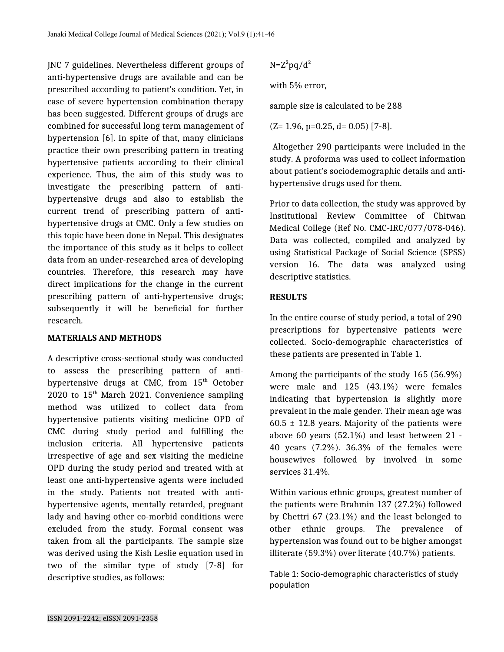JNC 7 guidelines. Nevertheless different groups of anti-hypertensive drugs are available and can be prescribed according to patient's condition. Yet, in case of severe hypertension combination therapy has been suggested. Different groups of drugs are combined for successful long term management of hypertension [6]. In spite of that, many clinicians practice their own prescribing pattern in treating hypertensive patients according to their clinical experience. Thus, the aim of this study was to investigate the prescribing pattern of antihypertensive drugs and also to establish the current trend of prescribing pattern of antihypertensive drugs at CMC. Only a few studies on this topic have been done in Nepal. This designates the importance of this study as it helps to collect data from an under-researched area of developing countries. Therefore, this research may have direct implications for the change in the current prescribing pattern of anti-hypertensive drugs; subsequently it will be beneficial for further research.

#### **MATERIALS AND METHODS**

A descriptive cross-sectional study was conducted to assess the prescribing pattern of antihypertensive drugs at CMC, from 15<sup>th</sup> October 2020 to  $15<sup>th</sup>$  March 2021. Convenience sampling method was utilized to collect data from hypertensive patients visiting medicine OPD of CMC during study period and fulfilling the inclusion criteria. All hypertensive patients irrespective of age and sex visiting the medicine OPD during the study period and treated with at least one anti-hypertensive agents were included in the study. Patients not treated with antihypertensive agents, mentally retarded, pregnant lady and having other co-morbid conditions were excluded from the study. Formal consent was taken from all the participants. The sample size was derived using the Kish Leslie equation used in two of the similar type of study [7-8] for descriptive studies, as follows:

 $N=Z^2$ pq/d<sup>2</sup>

with 5% error,

sample size is calculated to be 288

 $(Z= 1.96, p=0.25, d= 0.05)$  [7-8].

Altogether 290 participants were included in the study. A proforma was used to collect information about patient's sociodemographic details and antihypertensive drugs used for them.

Prior to data collection, the study was approved by Institutional Review Committee of Chitwan Medical College (Ref No. CMC-IRC/077/078-046). Data was collected, compiled and analyzed by using Statistical Package of Social Science (SPSS) version 16. The data was analyzed using descriptive statistics.

#### **RESULTS**

In the entire course of study period, a total of 290 prescriptions for hypertensive patients were collected. Socio-demographic characteristics of these patients are presented in Table 1.

Among the participants of the study 165 (56.9%) were male and 125 (43.1%) were females indicating that hypertension is slightly more prevalent in the male gender. Their mean age was  $60.5 \pm 12.8$  years. Majority of the patients were above 60 years (52.1%) and least between 21 - 40 years (7.2%). 36.3% of the females were housewives followed by involved in some services 31.4%.

Within various ethnic groups, greatest number of the patients were Brahmin 137 (27.2%) followed by Chettri 67 (23.1%) and the least belonged to other ethnic groups. The prevalence of hypertension was found out to be higher amongst illiterate (59.3%) over literate (40.7%) patients.

Table 1: Socio-demographic characteristics of study population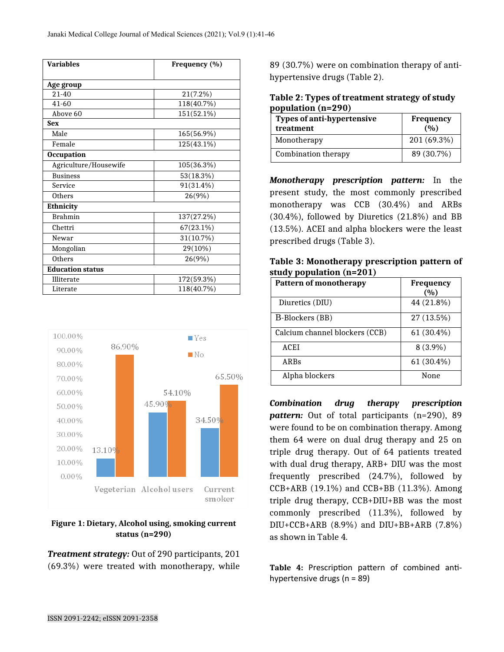| <b>Variables</b>        | Frequency (%) |  |
|-------------------------|---------------|--|
| Age group               |               |  |
| $21 - 40$               | 21(7.2%)      |  |
| 41-60                   | 118(40.7%)    |  |
| Above 60                | 151(52.1%)    |  |
| <b>Sex</b>              |               |  |
| Male                    | 165(56.9%)    |  |
| Female                  | 125(43.1%)    |  |
| <b>Occupation</b>       |               |  |
| Agriculture/Housewife   | 105(36.3%)    |  |
| <b>Business</b>         | 53(18.3%)     |  |
| Service                 | 91(31.4%)     |  |
| Others                  | 26(9%)        |  |
| Ethnicity               |               |  |
| <b>Brahmin</b>          | 137(27.2%)    |  |
| Chettri                 | $67(23.1\%)$  |  |
| Newar                   | 31(10.7%)     |  |
| Mongolian               | 29(10%)       |  |
| Others                  | 26(9%)        |  |
| <b>Education status</b> |               |  |
| Illiterate              | 172(59.3%)    |  |
| Literate                | 118(40.7%)    |  |



#### **Figure 1: Dietary, Alcohol using, smoking current status (n=290)**

*Treatment strategy:* Out of 290 participants, 201 (69.3%) were treated with monotherapy, while

89 (30.7%) were on combination therapy of antihypertensive drugs (Table 2).

| Table 2: Types of treatment strategy of study |  |
|-----------------------------------------------|--|
| population (n=290)                            |  |

| <b>Types of anti-hypertensive</b><br>treatment | Frequency<br>(0/0) |
|------------------------------------------------|--------------------|
| Monotherapy                                    | 201 (69.3%)        |
| Combination therapy                            | 89 (30.7%)         |

*Monotherapy prescription pattern:* In the present study, the most commonly prescribed monotherapy was CCB (30.4%) and ARBs (30.4%), followed by Diuretics (21.8%) and BB (13.5%). ACEI and alpha blockers were the least prescribed drugs (Table 3).

**Table 3: Monotherapy prescription pattern of study population (n=201)**

| <b>Pattern of monotherapy</b>  | <b>Frequency</b><br>(0/0) |
|--------------------------------|---------------------------|
| Diuretics (DIU)                | 44 (21.8%)                |
| B-Blockers (BB)                | 27 (13.5%)                |
| Calcium channel blockers (CCB) | $61(30.4\%)$              |
| <b>ACEI</b>                    | $8(3.9\%)$                |
| ARBs                           | $61(30.4\%)$              |
| Alpha blockers                 | None                      |

*Combination drug therapy prescription pattern:* Out of total participants (n=290), 89 were found to be on combination therapy. Among them 64 were on dual drug therapy and 25 on triple drug therapy. Out of 64 patients treated with dual drug therapy, ARB+ DIU was the most frequently prescribed (24.7%), followed by CCB+ARB (19.1%) and CCB+BB (11.3%). Among triple drug therapy, CCB+DIU+BB was the most commonly prescribed (11.3%), followed by DIU+CCB+ARB (8.9%) and DIU+BB+ARB (7.8%) as shown in Table 4.

**Table 4:** Prescription pattern of combined antihypertensive drugs (n = 89)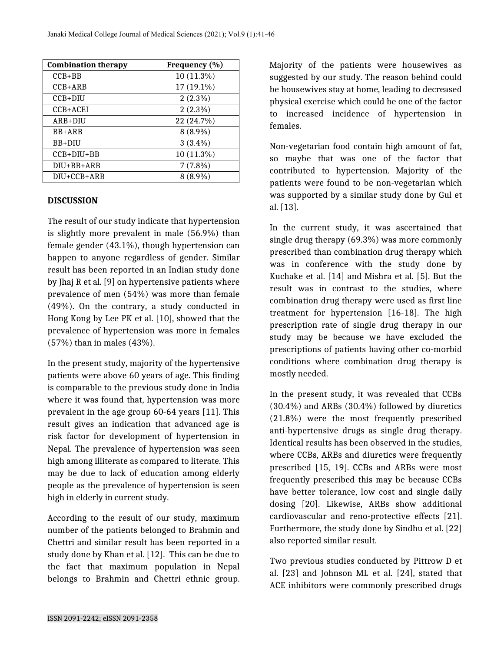| <b>Combination therapy</b> | Frequency (%) |
|----------------------------|---------------|
| $CCB + BB$                 | 10 (11.3%)    |
| $CCB+ARB$                  | 17 (19.1%)    |
| $CCB+DIU$                  | $2(2.3\%)$    |
| $CCB+ACEI$                 | $2(2.3\%)$    |
| $ARB+DIU$                  | 22 (24.7%)    |
| BB+ARB                     | $8(8.9\%)$    |
| $BB+DIII$                  | $3(3.4\%)$    |
| $CCB+DIU+BB$               | 10 (11.3%)    |
| DIU+BB+ARB                 | $7(7.8\%)$    |
| DIU+CCB+ARB                | $8(8.9\%)$    |

#### **DISCUSSION**

The result of our study indicate that hypertension is slightly more prevalent in male (56.9%) than female gender (43.1%), though hypertension can happen to anyone regardless of gender. Similar result has been reported in an Indian study done by Jhaj R et al. [9] on hypertensive patients where prevalence of men (54%) was more than female (49%). On the contrary, a study conducted in Hong Kong by Lee PK et al. [10], showed that the prevalence of hypertension was more in females (57%) than in males (43%).

In the present study, majority of the hypertensive patients were above 60 years of age. This finding is comparable to the previous study done in India where it was found that, hypertension was more prevalent in the age group 60-64 years [11]. This result gives an indication that advanced age is risk factor for development of hypertension in Nepal. The prevalence of hypertension was seen high among illiterate as compared to literate. This may be due to lack of education among elderly people as the prevalence of hypertension is seen high in elderly in current study.

According to the result of our study, maximum number of the patients belonged to Brahmin and Chettri and similar result has been reported in a study done by Khan et al. [12]. This can be due to the fact that maximum population in Nepal belongs to Brahmin and Chettri ethnic group.

Majority of the patients were housewives as suggested by our study. The reason behind could be housewives stay at home, leading to decreased physical exercise which could be one of the factor to increased incidence of hypertension in females.

Non-vegetarian food contain high amount of fat, so maybe that was one of the factor that contributed to hypertension. Majority of the patients were found to be non-vegetarian which was supported by a similar study done by Gul et al. [13].

In the current study, it was ascertained that single drug therapy (69.3%) was more commonly prescribed than combination drug therapy which was in conference with the study done by Kuchake et al. [14] and Mishra et al. [5]. But the result was in contrast to the studies, where combination drug therapy were used as first line treatment for hypertension [16-18]. The high prescription rate of single drug therapy in our study may be because we have excluded the prescriptions of patients having other co-morbid conditions where combination drug therapy is mostly needed.

In the present study, it was revealed that CCBs (30.4%) and ARBs (30.4%) followed by diuretics (21.8%) were the most frequently prescribed anti-hypertensive drugs as single drug therapy. Identical results has been observed in the studies, where CCBs, ARBs and diuretics were frequently prescribed [15, 19]. CCBs and ARBs were most frequently prescribed this may be because CCBs have better tolerance, low cost and single daily dosing [20]. Likewise, ARBs show additional cardiovascular and reno-protective effects [21]. Furthermore, the study done by Sindhu et al. [22] also reported similar result.

Two previous studies conducted by Pittrow D et al. [23] and Johnson ML et al. [24], stated that ACE inhibitors were commonly prescribed drugs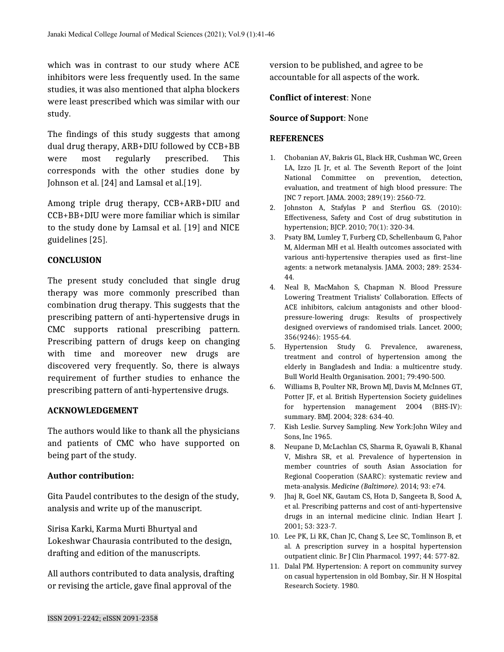which was in contrast to our study where ACE inhibitors were less frequently used. In the same studies, it was also mentioned that alpha blockers were least prescribed which was similar with our study.

The findings of this study suggests that among dual drug therapy, ARB+DIU followed by CCB+BB were most regularly prescribed. This corresponds with the other studies done by Johnson et al. [24] and Lamsal et al.[19].

Among triple drug therapy, CCB+ARB+DIU and CCB+BB+DIU were more familiar which is similar to the study done by Lamsal et al. [19] and NICE guidelines [25].

## **CONCLUSION**

The present study concluded that single drug therapy was more commonly prescribed than combination drug therapy. This suggests that the prescribing pattern of anti-hypertensive drugs in CMC supports rational prescribing pattern. Prescribing pattern of drugs keep on changing with time and moreover new drugs are discovered very frequently. So, there is always requirement of further studies to enhance the prescribing pattern of anti-hypertensive drugs.

#### **ACKNOWLEDGEMENT**

The authors would like to thank all the physicians and patients of CMC who have supported on being part of the study.

#### **Author contribution:**

Gita Paudel contributes to the design of the study, analysis and write up of the manuscript.

Sirisa Karki, Karma Murti Bhurtyal and Lokeshwar Chaurasia contributed to the design, drafting and edition of the manuscripts.

All authors contributed to data analysis, drafting or revising the article, gave final approval of the

version to be published, and agree to be accountable for all aspects of the work.

#### **Conflict of interest**: None

#### **Source of Support**: None

#### **REFERENCES**

- 1. Chobanian AV, Bakris GL, Black HR, Cushman WC, Green LA, Izzo JL Jr, et al. The Seventh Report of the Joint National Committee on prevention, detection, evaluation, and treatment of high blood pressure: The JNC 7 report. JAMA. 2003; 289(19): 2560-72.
- 2. Johnston A, Stafylas P and Sterfiou GS. (2010): Effectiveness, Safety and Cost of drug substitution in hypertension; BJCP. 2010; 70(1): 320-34.
- 3. Psaty BM, Lumley T, Furberg CD, Schellenbaum G, Pahor M, Alderman MH et al. Health outcomes associated with various anti-hypertensive therapies used as first–line agents: a network metanalysis. JAMA. 2003; 289: 2534- 44.
- 4. Neal B, MacMahon S, Chapman N. Blood Pressure Lowering Treatment Trialists' Collaboration. Effects of ACE inhibitors, calcium antagonists and other bloodpressure-lowering drugs: Results of prospectively designed overviews of randomised trials. Lancet. 2000; 356(9246): 1955-64.
- 5. Hypertension Study G. Prevalence, awareness, treatment and control of hypertension among the elderly in Bangladesh and India: a multicentre study. Bull World Health Organisation. 2001; 79:490-500.
- 6. Williams B, Poulter NR, Brown MJ, Davis M, McInnes GT, Potter JF, et al. British Hypertension Society guidelines for hypertension management 2004 (BHS-IV): summary. BMJ. 2004; 328: 634-40.
- 7. Kish Leslie. Survey Sampling. New York:John Wiley and Sons, Inc 1965.
- 8. Neupane D, McLachlan CS, Sharma R, Gyawali B, Khanal V, Mishra SR, et al. Prevalence of hypertension in member countries of south Asian Association for Regional Cooperation (SAARC): systematic review and meta-analysis. *Medicine (Baltimore).* 2014; 93: e74.
- 9. Jhaj R, Goel NK, Gautam CS, Hota D, Sangeeta B, Sood A, et al. Prescribing patterns and cost of anti-hypertensive drugs in an internal medicine clinic. Indian Heart J. 2001; 53: 323-7.
- 10. Lee PK, Li RK, Chan JC, Chang S, Lee SC, Tomlinson B, et al. A prescription survey in a hospital hypertension outpatient clinic. Br J Clin Pharmacol. 1997; 44: 577-82.
- 11. Dalal PM. Hypertension: A report on community survey on casual hypertension in old Bombay, Sir. H N Hospital Research Society. 1980.